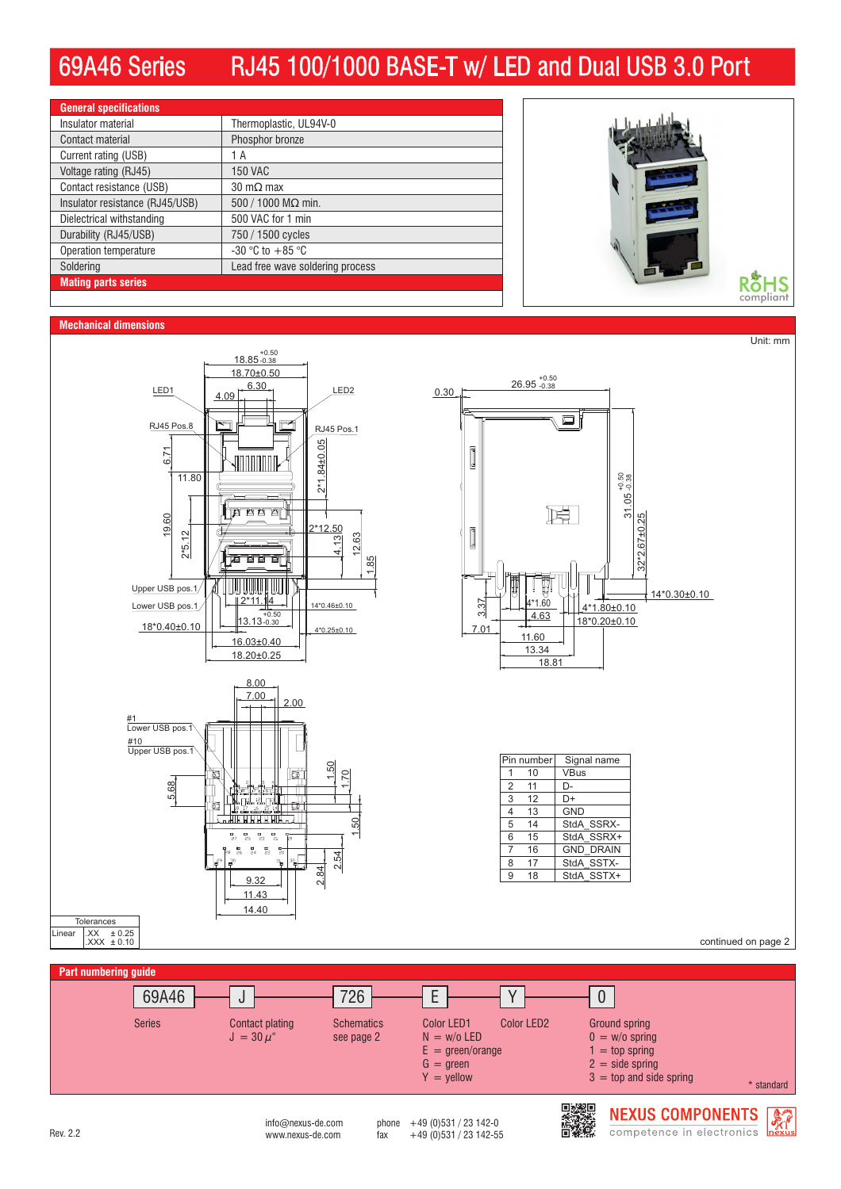## 69A46 Series RJ45 100/1000 BASE-T w/ LED and Dual USB 3.0 Port

| <b>General specifications</b>   |                                  |  |
|---------------------------------|----------------------------------|--|
| Insulator material              | Thermoplastic, UL94V-0           |  |
| Contact material                | Phosphor bronze                  |  |
| Current rating (USB)            | 1 A                              |  |
| Voltage rating (RJ45)           | <b>150 VAC</b>                   |  |
| Contact resistance (USB)        | $30 \text{ m}\Omega$ max         |  |
| Insulator resistance (RJ45/USB) | 500 / 1000 M $\Omega$ min.       |  |
| Dielectrical withstanding       | 500 VAC for 1 min                |  |
| Durability (RJ45/USB)           | 750 / 1500 cycles                |  |
| Operation temperature           | $-30$ °C to $+85$ °C             |  |
| Soldering                       | Lead free wave soldering process |  |
| <b>Mating parts series</b>      |                                  |  |



## **Mechanical dimensions**



 $int_{\text{M}}$  info@nexus-de.com phone  $+49$  (0)531 / 23 142-0<br>www.nexus-de.com fax  $+49$  (0)531 / 23 142-55 Rev. 2.2 **Rev.** 2.2 www.nexus-de.com fax +49 (0)531 / 23 142-55

 $E =$  green/orange  $G = green$  $Y =$  yellow

> 电燃回 ▓

 $1 =$  top spring

 $2 = side$  spring  $3 =$  top and side spring

> **NEXUS COMPONENTS** competence in electronics



\* standard